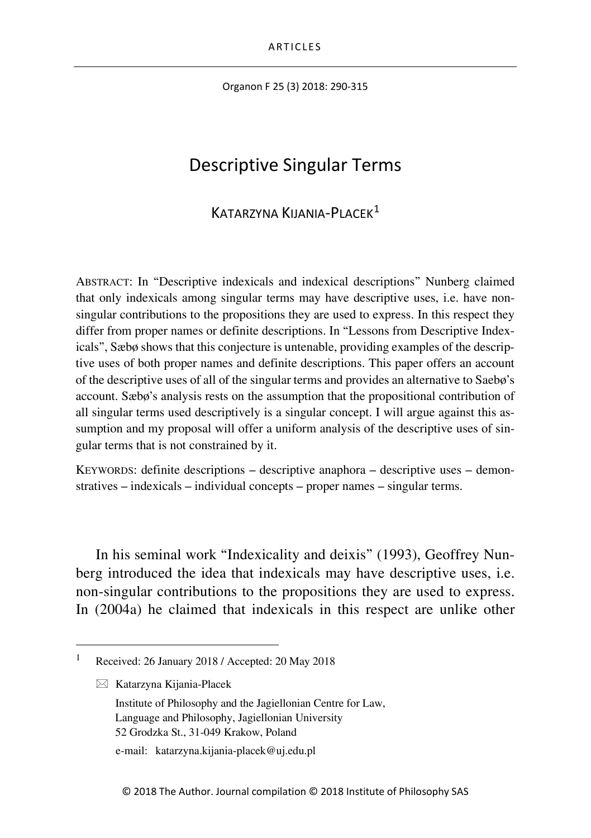Organon F 25 (3) 2018: 290-315

# Descriptive Singular Terms

### KATARZYNA KIJANIA-PLACEK[1](#page-0-0)

ABSTRACT: In "Descriptive indexicals and indexical descriptions" Nunberg claimed that only indexicals among singular terms may have descriptive uses, i.e. have nonsingular contributions to the propositions they are used to express. In this respect they differ from proper names or definite descriptions. In "Lessons from Descriptive Indexicals", Sæbø shows that this conjecture is untenable, providing examples of the descriptive uses of both proper names and definite descriptions. This paper offers an account of the descriptive uses of all of the singular terms and provides an alternative to Saebø's account. Sæbø's analysis rests on the assumption that the propositional contribution of all singular terms used descriptively is a singular concept. I will argue against this assumption and my proposal will offer a uniform analysis of the descriptive uses of singular terms that is not constrained by it.

KEYWORDS: definite descriptions – descriptive anaphora – descriptive uses – demonstratives – indexicals – individual concepts – proper names – singular terms.

In his seminal work "Indexicality and deixis" (1993), Geoffrey Nunberg introduced the idea that indexicals may have descriptive uses, i.e. non-singular contributions to the propositions they are used to express. In (2004a) he claimed that indexicals in this respect are unlike other

 $\boxtimes$  Katarzyna Kijania-Placek

<span id="page-0-0"></span> <sup>1</sup> Received: 26 January 2018 / Accepted: 20 May 2018

Institute of Philosophy and the Jagiellonian Centre for Law, Language and Philosophy, Jagiellonian University 52 Grodzka St., 31-049 Krakow, Poland

e-mail: katarzyna.kijania-placek@uj.edu.pl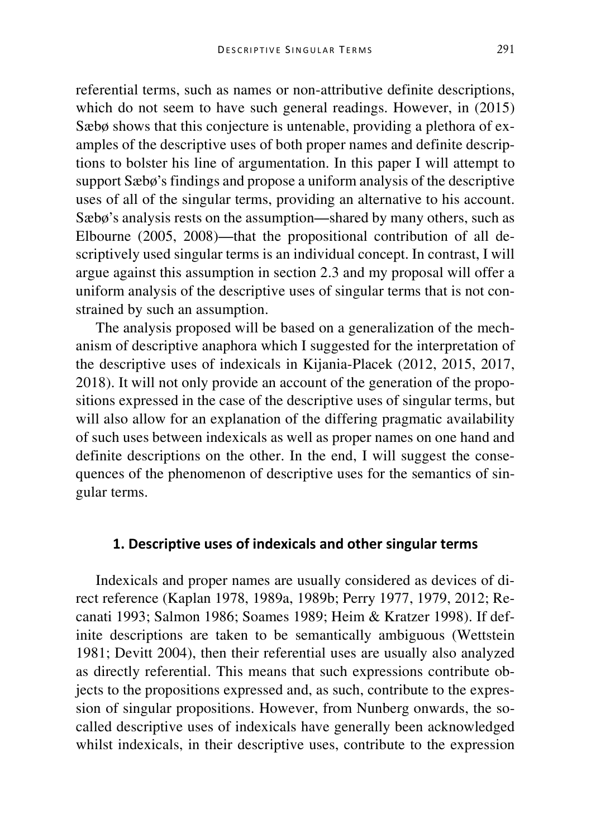referential terms, such as names or non-attributive definite descriptions, which do not seem to have such general readings. However, in  $(2015)$ Sæbø shows that this conjecture is untenable, providing a plethora of examples of the descriptive uses of both proper names and definite descriptions to bolster his line of argumentation. In this paper I will attempt to support Sæbø's findings and propose a uniform analysis of the descriptive uses of all of the singular terms, providing an alternative to his account. Sæbø's analysis rests on the assumption—shared by many others, such as Elbourne (2005, 2008)—that the propositional contribution of all descriptively used singular terms is an individual concept. In contrast, I will argue against this assumption in section 2.3 and my proposal will offer a uniform analysis of the descriptive uses of singular terms that is not constrained by such an assumption.

The analysis proposed will be based on a generalization of the mechanism of descriptive anaphora which I suggested for the interpretation of the descriptive uses of indexicals in Kijania-Placek (2012, 2015, 2017, 2018). It will not only provide an account of the generation of the propositions expressed in the case of the descriptive uses of singular terms, but will also allow for an explanation of the differing pragmatic availability of such uses between indexicals as well as proper names on one hand and definite descriptions on the other. In the end, I will suggest the consequences of the phenomenon of descriptive uses for the semantics of singular terms.

#### **1. Descriptive uses of indexicals and other singular terms**

Indexicals and proper names are usually considered as devices of direct reference (Kaplan 1978, 1989a, 1989b; Perry 1977, 1979, 2012; Recanati 1993; Salmon 1986; Soames 1989; Heim & Kratzer 1998). If definite descriptions are taken to be semantically ambiguous (Wettstein 1981; Devitt 2004), then their referential uses are usually also analyzed as directly referential. This means that such expressions contribute objects to the propositions expressed and, as such, contribute to the expression of singular propositions. However, from Nunberg onwards, the socalled descriptive uses of indexicals have generally been acknowledged whilst indexicals, in their descriptive uses, contribute to the expression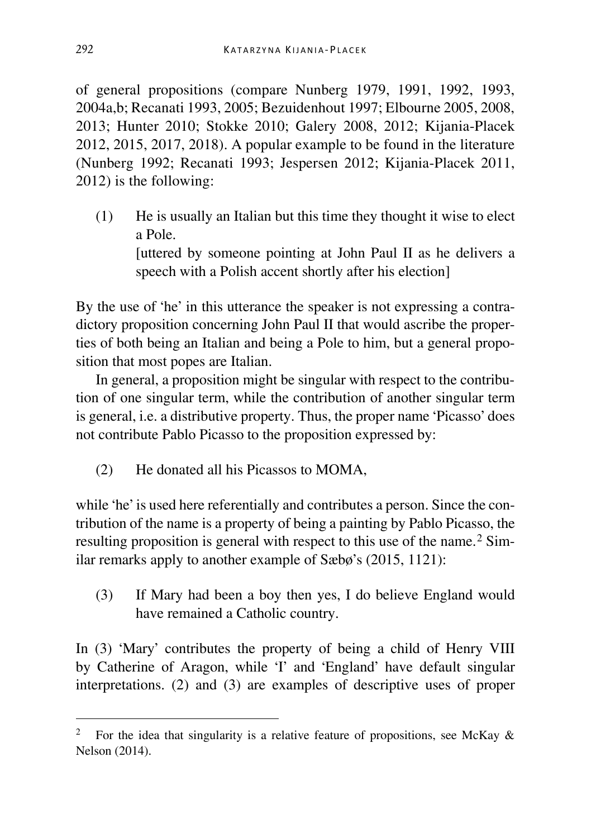of general propositions (compare Nunberg 1979, 1991, 1992, 1993, 2004a,b; Recanati 1993, 2005; Bezuidenhout 1997; Elbourne 2005, 2008, 2013; Hunter 2010; Stokke 2010; Galery 2008, 2012; Kijania-Placek 2012, 2015, 2017, 2018). A popular example to be found in the literature (Nunberg 1992; Recanati 1993; Jespersen 2012; Kijania-Placek 2011, 2012) is the following:

(1) He is usually an Italian but this time they thought it wise to elect a Pole. [uttered by someone pointing at John Paul II as he delivers a speech with a Polish accent shortly after his election]

By the use of 'he' in this utterance the speaker is not expressing a contradictory proposition concerning John Paul II that would ascribe the properties of both being an Italian and being a Pole to him, but a general proposition that most popes are Italian.

In general, a proposition might be singular with respect to the contribution of one singular term, while the contribution of another singular term is general, i.e. a distributive property. Thus, the proper name 'Picasso' does not contribute Pablo Picasso to the proposition expressed by:

(2) He donated all his Picassos to MOMA,

while 'he' is used here referentially and contributes a person. Since the contribution of the name is a property of being a painting by Pablo Picasso, the resulting proposition is general with respect to this use of the name.<sup>[2](#page-2-0)</sup> Similar remarks apply to another example of Sæbø's (2015, 1121):

(3) If Mary had been a boy then yes, I do believe England would have remained a Catholic country.

In (3) 'Mary' contributes the property of being a child of Henry VIII by Catherine of Aragon, while 'I' and 'England' have default singular interpretations. (2) and (3) are examples of descriptive uses of proper

<span id="page-2-0"></span><sup>&</sup>lt;sup>2</sup> For the idea that singularity is a relative feature of propositions, see McKay  $\&$ Nelson (2014).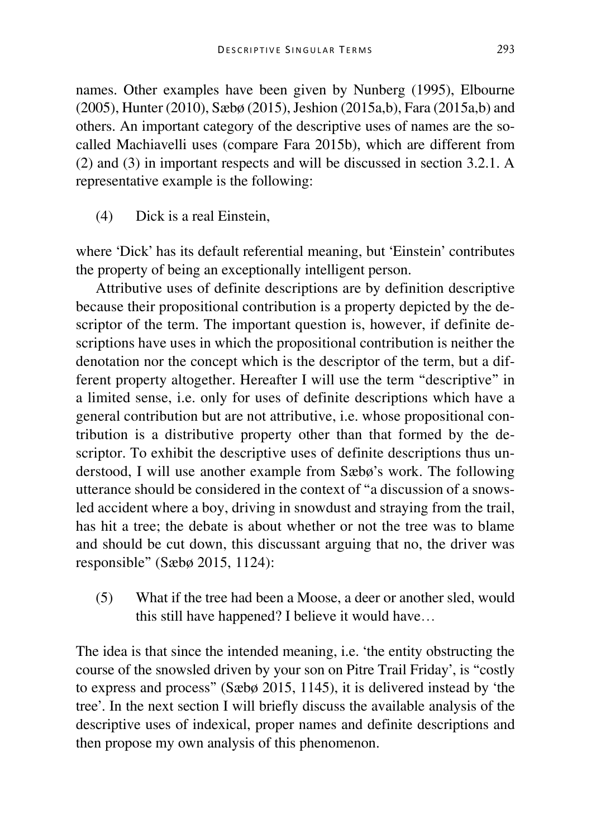names. Other examples have been given by Nunberg (1995), Elbourne (2005), Hunter (2010), Sæbø (2015), Jeshion (2015a,b), Fara (2015a,b) and others. An important category of the descriptive uses of names are the socalled Machiavelli uses (compare Fara 2015b), which are different from (2) and (3) in important respects and will be discussed in section 3.2.1. A representative example is the following:

(4) Dick is a real Einstein,

where 'Dick' has its default referential meaning, but 'Einstein' contributes the property of being an exceptionally intelligent person.

Attributive uses of definite descriptions are by definition descriptive because their propositional contribution is a property depicted by the descriptor of the term. The important question is, however, if definite descriptions have uses in which the propositional contribution is neither the denotation nor the concept which is the descriptor of the term, but a different property altogether. Hereafter I will use the term "descriptive" in a limited sense, i.e. only for uses of definite descriptions which have a general contribution but are not attributive, i.e. whose propositional contribution is a distributive property other than that formed by the descriptor. To exhibit the descriptive uses of definite descriptions thus understood, I will use another example from Sæbø's work. The following utterance should be considered in the context of "a discussion of a snowsled accident where a boy, driving in snowdust and straying from the trail, has hit a tree; the debate is about whether or not the tree was to blame and should be cut down, this discussant arguing that no, the driver was responsible" (Sæbø 2015, 1124):

(5) What if the tree had been a Moose, a deer or another sled, would this still have happened? I believe it would have…

The idea is that since the intended meaning, i.e. 'the entity obstructing the course of the snowsled driven by your son on Pitre Trail Friday', is "costly to express and process" (Sæbø 2015, 1145), it is delivered instead by 'the tree'. In the next section I will briefly discuss the available analysis of the descriptive uses of indexical, proper names and definite descriptions and then propose my own analysis of this phenomenon.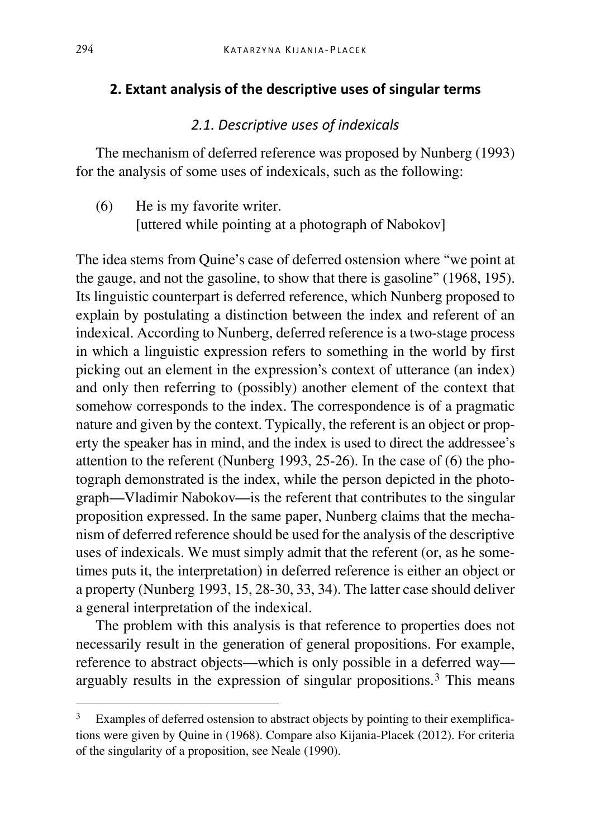#### **2. Extant analysis of the descriptive uses of singular terms**

## *2.1. Descriptive uses of indexicals*

The mechanism of deferred reference was proposed by Nunberg (1993) for the analysis of some uses of indexicals, such as the following:

(6) He is my favorite writer. [uttered while pointing at a photograph of Nabokov]

The idea stems from Quine's case of deferred ostension where "we point at the gauge, and not the gasoline, to show that there is gasoline" (1968, 195). Its linguistic counterpart is deferred reference, which Nunberg proposed to explain by postulating a distinction between the index and referent of an indexical. According to Nunberg, deferred reference is a two-stage process in which a linguistic expression refers to something in the world by first picking out an element in the expression's context of utterance (an index) and only then referring to (possibly) another element of the context that somehow corresponds to the index. The correspondence is of a pragmatic nature and given by the context. Typically, the referent is an object or property the speaker has in mind, and the index is used to direct the addressee's attention to the referent (Nunberg 1993, 25-26). In the case of (6) the photograph demonstrated is the index, while the person depicted in the photograph—Vladimir Nabokov—is the referent that contributes to the singular proposition expressed. In the same paper, Nunberg claims that the mechanism of deferred reference should be used for the analysis of the descriptive uses of indexicals. We must simply admit that the referent (or, as he sometimes puts it, the interpretation) in deferred reference is either an object or a property (Nunberg 1993, 15, 28-30, 33, 34). The latter case should deliver a general interpretation of the indexical.

The problem with this analysis is that reference to properties does not necessarily result in the generation of general propositions. For example, reference to abstract objects—which is only possible in a deferred way arguably results in the expression of singular propositions.[3](#page-4-0) This means

<span id="page-4-0"></span>Examples of deferred ostension to abstract objects by pointing to their exemplifications were given by Quine in (1968). Compare also Kijania-Placek (2012). For criteria of the singularity of a proposition, see Neale (1990).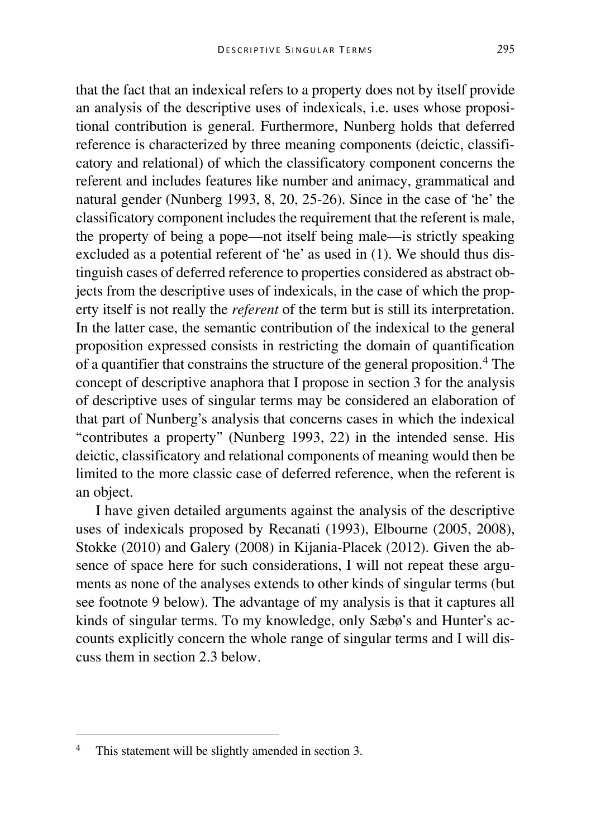that the fact that an indexical refers to a property does not by itself provide an analysis of the descriptive uses of indexicals, i.e. uses whose propositional contribution is general. Furthermore, Nunberg holds that deferred reference is characterized by three meaning components (deictic, classificatory and relational) of which the classificatory component concerns the referent and includes features like number and animacy, grammatical and natural gender (Nunberg 1993, 8, 20, 25-26). Since in the case of 'he' the classificatory component includes the requirement that the referent is male, the property of being a pope—not itself being male—is strictly speaking excluded as a potential referent of 'he' as used in (1). We should thus distinguish cases of deferred reference to properties considered as abstract objects from the descriptive uses of indexicals, in the case of which the property itself is not really the *referent* of the term but is still its interpretation. In the latter case, the semantic contribution of the indexical to the general proposition expressed consists in restricting the domain of quantification of a quantifier that constrains the structure of the general proposition.[4](#page-5-0) The concept of descriptive anaphora that I propose in section 3 for the analysis of descriptive uses of singular terms may be considered an elaboration of that part of Nunberg's analysis that concerns cases in which the indexical "contributes a property" (Nunberg 1993, 22) in the intended sense. His deictic, classificatory and relational components of meaning would then be limited to the more classic case of deferred reference, when the referent is an object.

I have given detailed arguments against the analysis of the descriptive uses of indexicals proposed by Recanati (1993), Elbourne (2005, 2008), Stokke (2010) and Galery (2008) in Kijania-Placek (2012). Given the absence of space here for such considerations, I will not repeat these arguments as none of the analyses extends to other kinds of singular terms (but see footnote 9 below). The advantage of my analysis is that it captures all kinds of singular terms. To my knowledge, only Sæbø's and Hunter's accounts explicitly concern the whole range of singular terms and I will discuss them in section 2.3 below.

<span id="page-5-0"></span> <sup>4</sup> This statement will be slightly amended in section 3.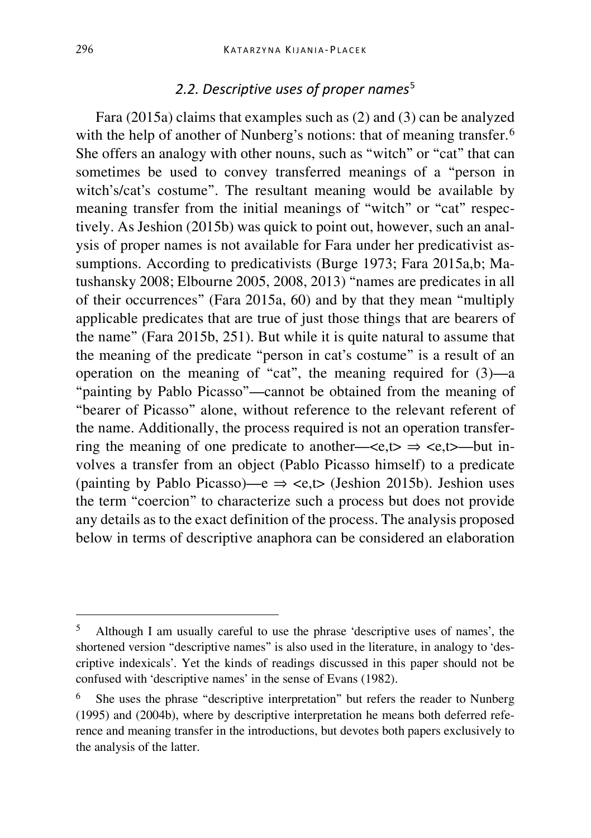### *2.2. Descriptive uses of proper names*[5](#page-6-0)

Fara (2015a) claims that examples such as (2) and (3) can be analyzed with the help of another of Nunberg's notions: that of meaning transfer.<sup>[6](#page-6-1)</sup> She offers an analogy with other nouns, such as "witch" or "cat" that can sometimes be used to convey transferred meanings of a "person in witch's/cat's costume". The resultant meaning would be available by meaning transfer from the initial meanings of "witch" or "cat" respectively. As Jeshion (2015b) was quick to point out, however, such an analysis of proper names is not available for Fara under her predicativist assumptions. According to predicativists (Burge 1973; Fara 2015a,b; Matushansky 2008; Elbourne 2005, 2008, 2013) "names are predicates in all of their occurrences" (Fara 2015a, 60) and by that they mean "multiply applicable predicates that are true of just those things that are bearers of the name" (Fara 2015b, 251). But while it is quite natural to assume that the meaning of the predicate "person in cat's costume" is a result of an operation on the meaning of "cat", the meaning required for (3)—a "painting by Pablo Picasso"—cannot be obtained from the meaning of "bearer of Picasso" alone, without reference to the relevant referent of the name. Additionally, the process required is not an operation transferring the meaning of one predicate to another— $\langle e,t \rangle \Rightarrow \langle e,t \rangle$ —but involves a transfer from an object (Pablo Picasso himself) to a predicate (painting by Pablo Picasso)—e  $\Rightarrow$  <e,t $\Rightarrow$  (Jeshion 2015b). Jeshion uses the term "coercion" to characterize such a process but does not provide any details as to the exact definition of the process. The analysis proposed below in terms of descriptive anaphora can be considered an elaboration

<span id="page-6-0"></span> <sup>5</sup> Although I am usually careful to use the phrase 'descriptive uses of names', the shortened version "descriptive names" is also used in the literature, in analogy to 'descriptive indexicals'. Yet the kinds of readings discussed in this paper should not be confused with 'descriptive names' in the sense of Evans (1982).

<span id="page-6-1"></span><sup>6</sup> She uses the phrase "descriptive interpretation" but refers the reader to Nunberg (1995) and (2004b), where by descriptive interpretation he means both deferred reference and meaning transfer in the introductions, but devotes both papers exclusively to the analysis of the latter.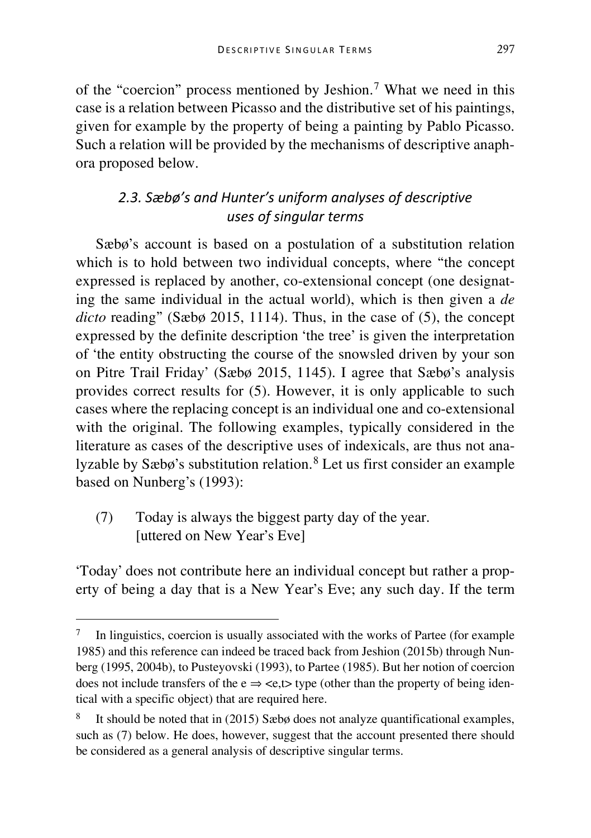of the "coercion" process mentioned by Jeshion.[7](#page-7-0) What we need in this case is a relation between Picasso and the distributive set of his paintings, given for example by the property of being a painting by Pablo Picasso. Such a relation will be provided by the mechanisms of descriptive anaphora proposed below.

## *2.3. Sæbø's and Hunter's uniform analyses of descriptive uses of singular terms*

Sæbø's account is based on a postulation of a substitution relation which is to hold between two individual concepts, where "the concept" expressed is replaced by another, co-extensional concept (one designating the same individual in the actual world), which is then given a *de dicto* reading" (Sæbø 2015, 1114). Thus, in the case of (5), the concept expressed by the definite description 'the tree' is given the interpretation of 'the entity obstructing the course of the snowsled driven by your son on Pitre Trail Friday' (Sæbø 2015, 1145). I agree that Sæbø's analysis provides correct results for (5). However, it is only applicable to such cases where the replacing concept is an individual one and co-extensional with the original. The following examples, typically considered in the literature as cases of the descriptive uses of indexicals, are thus not analyzable by Sæbø's substitution relation.[8](#page-7-1) Let us first consider an example based on Nunberg's (1993):

(7) Today is always the biggest party day of the year. [uttered on New Year's Eve]

'Today' does not contribute here an individual concept but rather a property of being a day that is a New Year's Eve; any such day. If the term

<span id="page-7-0"></span> <sup>7</sup> In linguistics, coercion is usually associated with the works of Partee (for example 1985) and this reference can indeed be traced back from Jeshion (2015b) through Nunberg (1995, 2004b), to Pusteyovski (1993), to Partee (1985). But her notion of coercion does not include transfers of the  $e \Rightarrow \langle e, t \rangle$  type (other than the property of being identical with a specific object) that are required here.

<span id="page-7-1"></span>It should be noted that in  $(2015)$  Sæbø does not analyze quantificational examples, such as (7) below. He does, however, suggest that the account presented there should be considered as a general analysis of descriptive singular terms.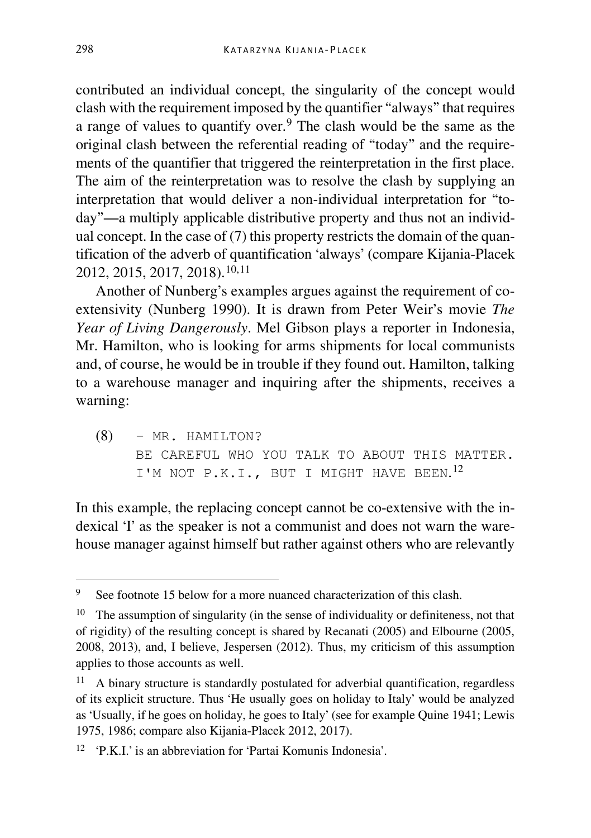contributed an individual concept, the singularity of the concept would clash with the requirement imposed by the quantifier "always" that requires a range of values to quantify over.[9](#page-8-0) The clash would be the same as the original clash between the referential reading of "today" and the requirements of the quantifier that triggered the reinterpretation in the first place. The aim of the reinterpretation was to resolve the clash by supplying an interpretation that would deliver a non-individual interpretation for "today"—a multiply applicable distributive property and thus not an individual concept. In the case of (7) this property restricts the domain of the quantification of the adverb of quantification 'always' (compare Kijania-Placek 2012, 2015, 2017, 2018).[10](#page-8-1),[11](#page-8-2)

Another of Nunberg's examples argues against the requirement of coextensivity (Nunberg 1990). It is drawn from Peter Weir's movie *The Year of Living Dangerously*. Mel Gibson plays a reporter in Indonesia, Mr. Hamilton, who is looking for arms shipments for local communists and, of course, he would be in trouble if they found out. Hamilton, talking to a warehouse manager and inquiring after the shipments, receives a warning:

(8) – MR. HAMILTON? BE CAREFUL WHO YOU TALK TO ABOUT THIS MATTER. I'M NOT P.K.I., BUT I MIGHT HAVE BEEN.<sup>[12](#page-8-3)</sup>

In this example, the replacing concept cannot be co-extensive with the indexical 'I' as the speaker is not a communist and does not warn the warehouse manager against himself but rather against others who are relevantly

<span id="page-8-0"></span><sup>&</sup>lt;sup>9</sup> See footnote 15 below for a more nuanced characterization of this clash.

<span id="page-8-1"></span><sup>&</sup>lt;sup>10</sup> The assumption of singularity (in the sense of individuality or definiteness, not that of rigidity) of the resulting concept is shared by Recanati (2005) and Elbourne (2005, 2008, 2013), and, I believe, Jespersen (2012). Thus, my criticism of this assumption applies to those accounts as well.

<span id="page-8-2"></span>A binary structure is standardly postulated for adverbial quantification, regardless of its explicit structure. Thus 'He usually goes on holiday to Italy' would be analyzed as 'Usually, if he goes on holiday, he goes to Italy' (see for example Quine 1941; Lewis 1975, 1986; compare also Kijania-Placek 2012, 2017).

<span id="page-8-3"></span><sup>12</sup> 'P.K.I.' is an abbreviation for 'Partai Komunis Indonesia'.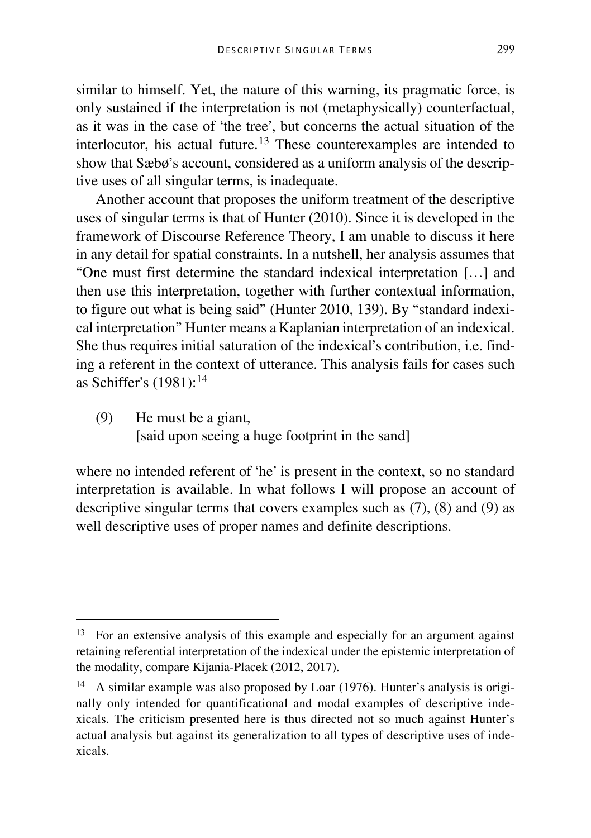similar to himself. Yet, the nature of this warning, its pragmatic force, is only sustained if the interpretation is not (metaphysically) counterfactual, as it was in the case of 'the tree', but concerns the actual situation of the interlocutor, his actual future.[13](#page-9-0) These counterexamples are intended to show that Sæbø's account, considered as a uniform analysis of the descriptive uses of all singular terms, is inadequate.

Another account that proposes the uniform treatment of the descriptive uses of singular terms is that of Hunter (2010). Since it is developed in the framework of Discourse Reference Theory, I am unable to discuss it here in any detail for spatial constraints. In a nutshell, her analysis assumes that "One must first determine the standard indexical interpretation […] and then use this interpretation, together with further contextual information, to figure out what is being said" (Hunter 2010, 139). By "standard indexical interpretation" Hunter means a Kaplanian interpretation of an indexical. She thus requires initial saturation of the indexical's contribution, i.e. finding a referent in the context of utterance. This analysis fails for cases such as Schiffer's (1981):[14](#page-9-1)

(9) He must be a giant, [said upon seeing a huge footprint in the sand]

where no intended referent of 'he' is present in the context, so no standard interpretation is available. In what follows I will propose an account of descriptive singular terms that covers examples such as (7), (8) and (9) as well descriptive uses of proper names and definite descriptions.

<span id="page-9-0"></span> <sup>13</sup> For an extensive analysis of this example and especially for an argument against retaining referential interpretation of the indexical under the epistemic interpretation of the modality, compare Kijania-Placek (2012, 2017).

<span id="page-9-1"></span><sup>14</sup> A similar example was also proposed by Loar (1976). Hunter's analysis is originally only intended for quantificational and modal examples of descriptive indexicals. The criticism presented here is thus directed not so much against Hunter's actual analysis but against its generalization to all types of descriptive uses of indexicals.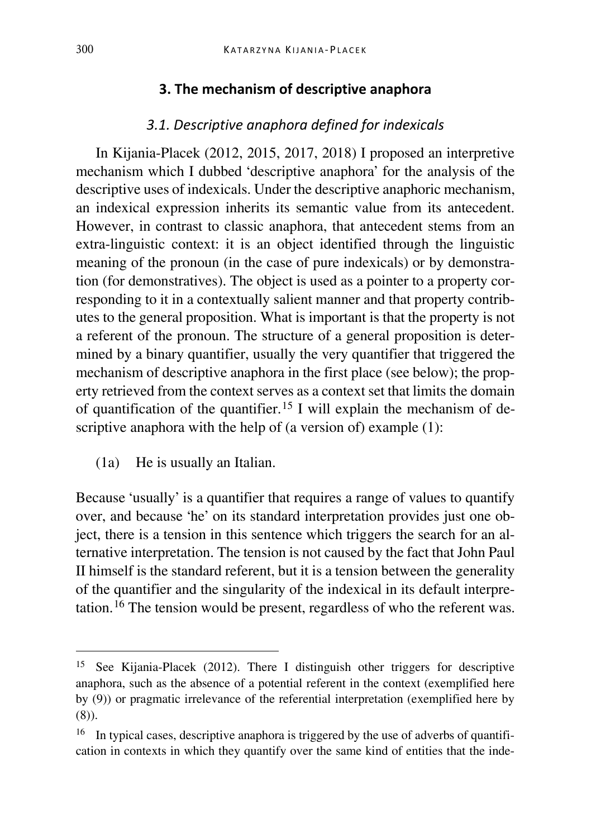#### **3. The mechanism of descriptive anaphora**

### *3.1. Descriptive anaphora defined for indexicals*

In Kijania-Placek (2012, 2015, 2017, 2018) I proposed an interpretive mechanism which I dubbed 'descriptive anaphora' for the analysis of the descriptive uses of indexicals. Under the descriptive anaphoric mechanism, an indexical expression inherits its semantic value from its antecedent. However, in contrast to classic anaphora, that antecedent stems from an extra-linguistic context: it is an object identified through the linguistic meaning of the pronoun (in the case of pure indexicals) or by demonstration (for demonstratives). The object is used as a pointer to a property corresponding to it in a contextually salient manner and that property contributes to the general proposition. What is important is that the property is not a referent of the pronoun. The structure of a general proposition is determined by a binary quantifier, usually the very quantifier that triggered the mechanism of descriptive anaphora in the first place (see below); the property retrieved from the context serves as a context set that limits the domain of quantification of the quantifier.<sup>[15](#page-10-0)</sup> I will explain the mechanism of descriptive anaphora with the help of (a version of) example (1):

(1a) He is usually an Italian.

Because 'usually' is a quantifier that requires a range of values to quantify over, and because 'he' on its standard interpretation provides just one object, there is a tension in this sentence which triggers the search for an alternative interpretation. The tension is not caused by the fact that John Paul II himself is the standard referent, but it is a tension between the generality of the quantifier and the singularity of the indexical in its default interpretation.[16](#page-10-1) The tension would be present, regardless of who the referent was.

<span id="page-10-0"></span> <sup>15</sup> See Kijania-Placek (2012). There I distinguish other triggers for descriptive anaphora, such as the absence of a potential referent in the context (exemplified here by (9)) or pragmatic irrelevance of the referential interpretation (exemplified here by (8)).

<span id="page-10-1"></span><sup>&</sup>lt;sup>16</sup> In typical cases, descriptive anaphora is triggered by the use of adverbs of quantification in contexts in which they quantify over the same kind of entities that the inde-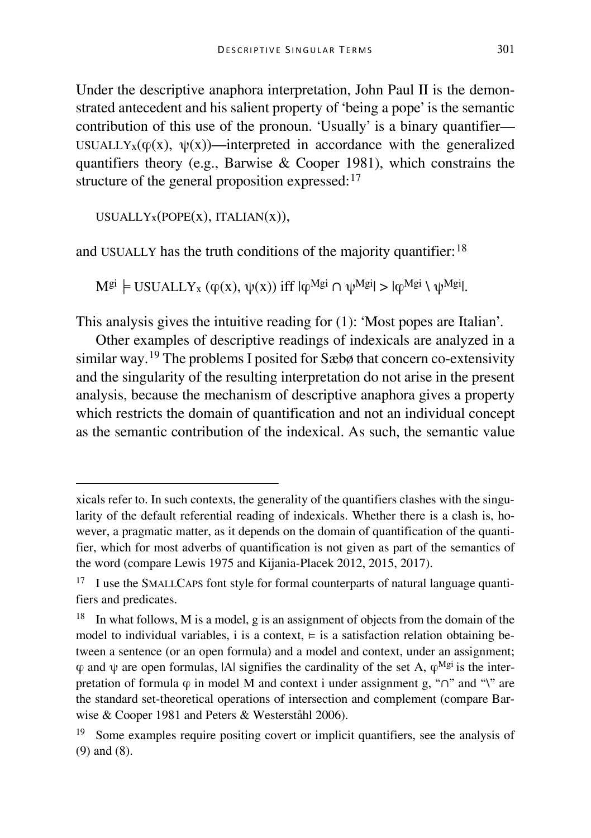Under the descriptive anaphora interpretation, John Paul II is the demonstrated antecedent and his salient property of 'being a pope' is the semantic contribution of this use of the pronoun. 'Usually' is a binary quantifier— USUALLY<sub>x</sub>( $\varphi(x)$ ,  $\psi(x)$ )—interpreted in accordance with the generalized quantifiers theory (e.g., Barwise & Cooper 1981), which constrains the structure of the general proposition expressed:<sup>[17](#page-11-0)</sup>

USUALLY $x(POPE(x), ITALIAN(x)),$ 

I

and USUALLY has the truth conditions of the majority quantifier:  $18$ 

 $M^{gi} \models \text{USUALY}_x (\varphi(x), \psi(x))$  iff  $|\varphi^{Mgi} \cap \psi^{Mgi}| > |\varphi^{Mgi} \setminus \psi^{Mgi}|$ .

This analysis gives the intuitive reading for (1): 'Most popes are Italian'.

Other examples of descriptive readings of indexicals are analyzed in a similar way.[19](#page-11-2) The problems I posited for Sæbø that concern co-extensivity and the singularity of the resulting interpretation do not arise in the present analysis, because the mechanism of descriptive anaphora gives a property which restricts the domain of quantification and not an individual concept as the semantic contribution of the indexical. As such, the semantic value

xicals refer to. In such contexts, the generality of the quantifiers clashes with the singularity of the default referential reading of indexicals. Whether there is a clash is, however, a pragmatic matter, as it depends on the domain of quantification of the quantifier, which for most adverbs of quantification is not given as part of the semantics of the word (compare Lewis 1975 and Kijania-Placek 2012, 2015, 2017).

<span id="page-11-0"></span><sup>&</sup>lt;sup>17</sup> I use the SMALLCAPS font style for formal counterparts of natural language quantifiers and predicates.

<span id="page-11-1"></span> $18$  In what follows, M is a model, g is an assignment of objects from the domain of the model to individual variables, i is a context,  $\models$  is a satisfaction relation obtaining between a sentence (or an open formula) and a model and context, under an assignment;  $\varphi$  and  $\psi$  are open formulas, |A| signifies the cardinality of the set A,  $\varphi^{Mgi}$  is the interpretation of formula  $\varphi$  in model M and context i under assignment g, " $\cap$ " and "\" are the standard set-theoretical operations of intersection and complement (compare Barwise & Cooper 1981 and Peters & Westerståhl 2006).

<span id="page-11-2"></span><sup>&</sup>lt;sup>19</sup> Some examples require positing covert or implicit quantifiers, see the analysis of (9) and (8).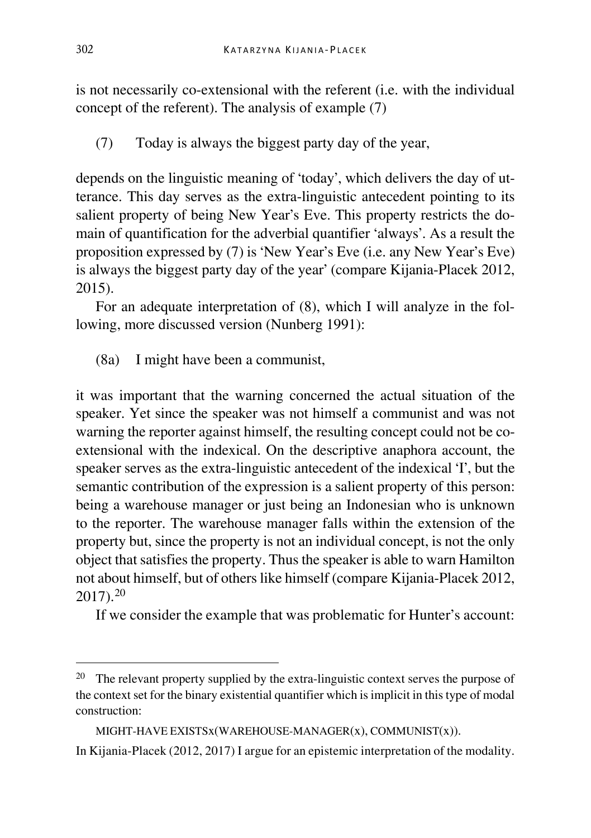is not necessarily co-extensional with the referent (i.e. with the individual concept of the referent). The analysis of example (7)

(7) Today is always the biggest party day of the year,

depends on the linguistic meaning of 'today', which delivers the day of utterance. This day serves as the extra-linguistic antecedent pointing to its salient property of being New Year's Eve. This property restricts the domain of quantification for the adverbial quantifier 'always'. As a result the proposition expressed by (7) is 'New Year's Eve (i.e. any New Year's Eve) is always the biggest party day of the year' (compare Kijania-Placek 2012, 2015).

For an adequate interpretation of (8), which I will analyze in the following, more discussed version (Nunberg 1991):

(8a) I might have been a communist,

it was important that the warning concerned the actual situation of the speaker. Yet since the speaker was not himself a communist and was not warning the reporter against himself, the resulting concept could not be coextensional with the indexical. On the descriptive anaphora account, the speaker serves as the extra-linguistic antecedent of the indexical 'I', but the semantic contribution of the expression is a salient property of this person: being a warehouse manager or just being an Indonesian who is unknown to the reporter. The warehouse manager falls within the extension of the property but, since the property is not an individual concept, is not the only object that satisfies the property. Thus the speaker is able to warn Hamilton not about himself, but of others like himself (compare Kijania-Placek 2012, 2017).[20](#page-12-0)

If we consider the example that was problematic for Hunter's account:

<span id="page-12-0"></span>The relevant property supplied by the extra-linguistic context serves the purpose of the context set for the binary existential quantifier which is implicit in this type of modal construction:

MIGHT-HAVE EXISTSx(WAREHOUSE-MANAGER(x), COMMUNIST(x)).

In Kijania-Placek (2012, 2017) I argue for an epistemic interpretation of the modality.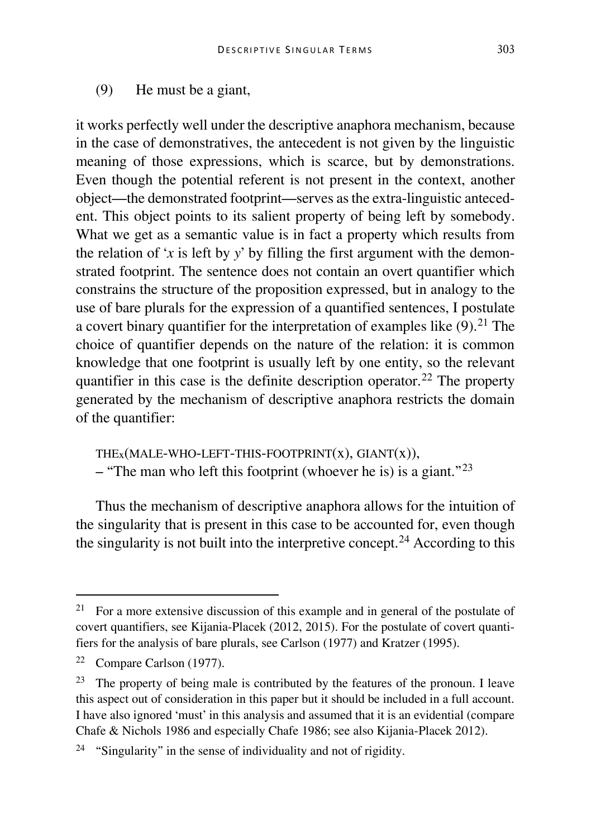(9) He must be a giant,

it works perfectly well under the descriptive anaphora mechanism, because in the case of demonstratives, the antecedent is not given by the linguistic meaning of those expressions, which is scarce, but by demonstrations. Even though the potential referent is not present in the context, another object—the demonstrated footprint—serves as the extra-linguistic antecedent. This object points to its salient property of being left by somebody. What we get as a semantic value is in fact a property which results from the relation of '*x* is left by *y*' by filling the first argument with the demonstrated footprint. The sentence does not contain an overt quantifier which constrains the structure of the proposition expressed, but in analogy to the use of bare plurals for the expression of a quantified sentences, I postulate a covert binary quantifier for the interpretation of examples like  $(9)$ .<sup>[21](#page-13-0)</sup> The choice of quantifier depends on the nature of the relation: it is common knowledge that one footprint is usually left by one entity, so the relevant quantifier in this case is the definite description operator.<sup>[22](#page-13-1)</sup> The property generated by the mechanism of descriptive anaphora restricts the domain of the quantifier:

THEx(MALE-WHO-LEFT-THIS-FOOTPRINT(x), GIANT(x)), – "The man who left this footprint (whoever he is) is a giant."<sup>[23](#page-13-2)</sup>

Thus the mechanism of descriptive anaphora allows for the intuition of the singularity that is present in this case to be accounted for, even though the singularity is not built into the interpretive concept.<sup>[24](#page-13-3)</sup> According to this

<span id="page-13-0"></span><sup>&</sup>lt;sup>21</sup> For a more extensive discussion of this example and in general of the postulate of covert quantifiers, see Kijania-Placek (2012, 2015). For the postulate of covert quantifiers for the analysis of bare plurals, see Carlson (1977) and Kratzer (1995).

<span id="page-13-1"></span><sup>22</sup> Compare Carlson (1977).

<span id="page-13-2"></span><sup>&</sup>lt;sup>23</sup> The property of being male is contributed by the features of the pronoun. I leave this aspect out of consideration in this paper but it should be included in a full account. I have also ignored 'must' in this analysis and assumed that it is an evidential (compare Chafe & Nichols 1986 and especially Chafe 1986; see also Kijania-Placek 2012).

<span id="page-13-3"></span><sup>&</sup>lt;sup>24</sup> "Singularity" in the sense of individuality and not of rigidity.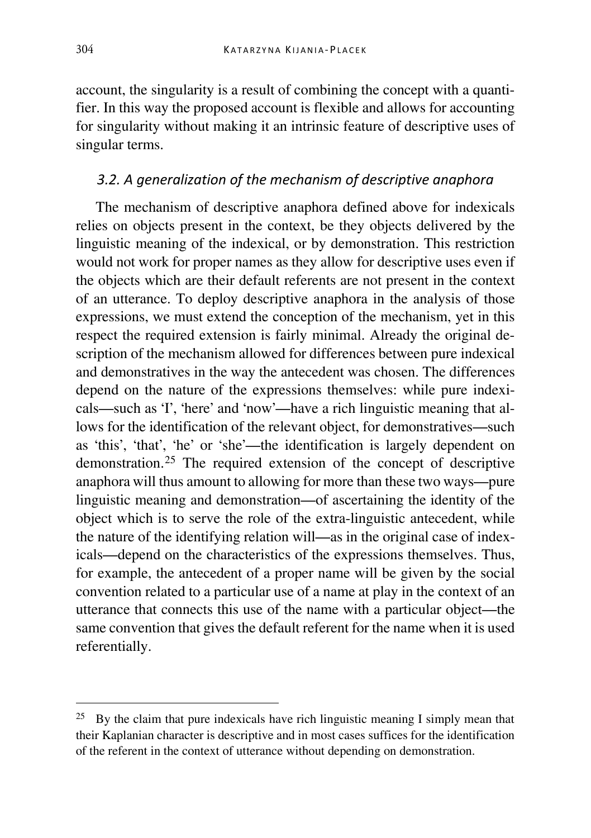account, the singularity is a result of combining the concept with a quantifier. In this way the proposed account is flexible and allows for accounting for singularity without making it an intrinsic feature of descriptive uses of singular terms.

#### *3.2. A generalization of the mechanism of descriptive anaphora*

The mechanism of descriptive anaphora defined above for indexicals relies on objects present in the context, be they objects delivered by the linguistic meaning of the indexical, or by demonstration. This restriction would not work for proper names as they allow for descriptive uses even if the objects which are their default referents are not present in the context of an utterance. To deploy descriptive anaphora in the analysis of those expressions, we must extend the conception of the mechanism, yet in this respect the required extension is fairly minimal. Already the original description of the mechanism allowed for differences between pure indexical and demonstratives in the way the antecedent was chosen. The differences depend on the nature of the expressions themselves: while pure indexicals—such as 'I', 'here' and 'now'—have a rich linguistic meaning that allows for the identification of the relevant object, for demonstratives—such as 'this', 'that', 'he' or 'she'—the identification is largely dependent on demonstration.[25](#page-14-0) The required extension of the concept of descriptive anaphora will thus amount to allowing for more than these two ways—pure linguistic meaning and demonstration—of ascertaining the identity of the object which is to serve the role of the extra-linguistic antecedent, while the nature of the identifying relation will—as in the original case of indexicals—depend on the characteristics of the expressions themselves. Thus, for example, the antecedent of a proper name will be given by the social convention related to a particular use of a name at play in the context of an utterance that connects this use of the name with a particular object—the same convention that gives the default referent for the name when it is used referentially.

<span id="page-14-0"></span><sup>&</sup>lt;sup>25</sup> By the claim that pure indexicals have rich linguistic meaning I simply mean that their Kaplanian character is descriptive and in most cases suffices for the identification of the referent in the context of utterance without depending on demonstration.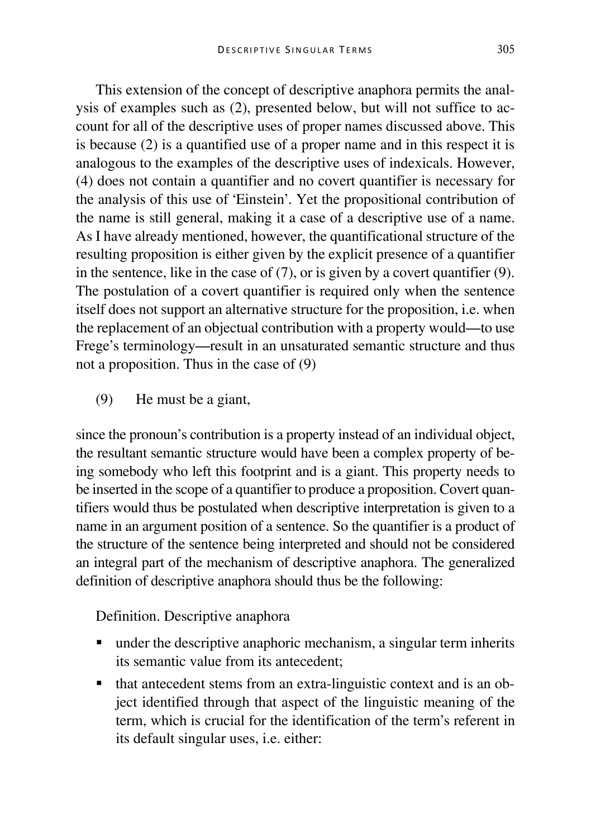This extension of the concept of descriptive anaphora permits the analysis of examples such as (2), presented below, but will not suffice to account for all of the descriptive uses of proper names discussed above. This is because (2) is a quantified use of a proper name and in this respect it is analogous to the examples of the descriptive uses of indexicals. However, (4) does not contain a quantifier and no covert quantifier is necessary for the analysis of this use of 'Einstein'. Yet the propositional contribution of the name is still general, making it a case of a descriptive use of a name. As I have already mentioned, however, the quantificational structure of the resulting proposition is either given by the explicit presence of a quantifier in the sentence, like in the case of (7), or is given by a covert quantifier (9). The postulation of a covert quantifier is required only when the sentence itself does not support an alternative structure for the proposition, i.e. when the replacement of an objectual contribution with a property would—to use Frege's terminology—result in an unsaturated semantic structure and thus not a proposition. Thus in the case of (9)

(9) He must be a giant,

since the pronoun's contribution is a property instead of an individual object, the resultant semantic structure would have been a complex property of being somebody who left this footprint and is a giant. This property needs to be inserted in the scope of a quantifier to produce a proposition. Covert quantifiers would thus be postulated when descriptive interpretation is given to a name in an argument position of a sentence. So the quantifier is a product of the structure of the sentence being interpreted and should not be considered an integral part of the mechanism of descriptive anaphora. The generalized definition of descriptive anaphora should thus be the following:

Definition. Descriptive anaphora

- under the descriptive anaphoric mechanism, a singular term inherits its semantic value from its antecedent;
- that antecedent stems from an extra-linguistic context and is an object identified through that aspect of the linguistic meaning of the term, which is crucial for the identification of the term's referent in its default singular uses, i.e. either: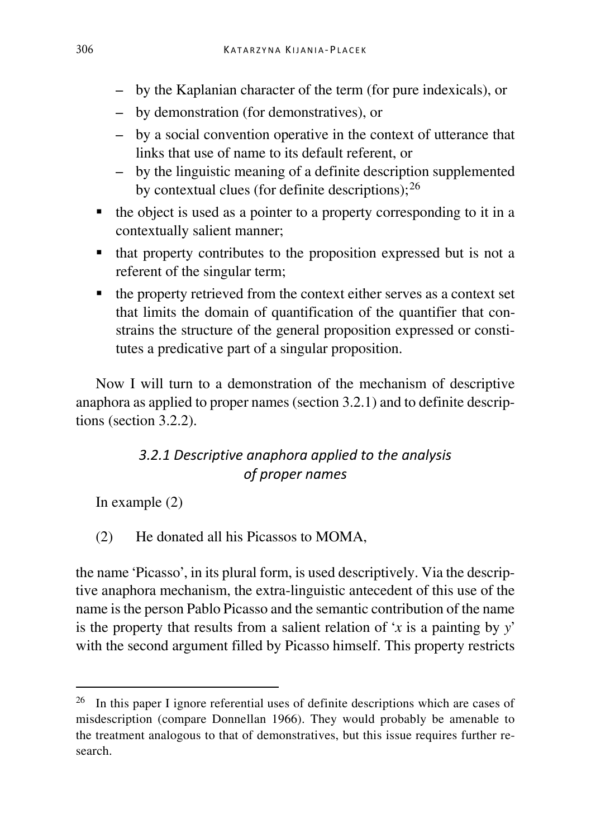- by the Kaplanian character of the term (for pure indexicals), or
- by demonstration (for demonstratives), or
- by a social convention operative in the context of utterance that links that use of name to its default referent, or
- by the linguistic meaning of a definite description supplemented by contextual clues (for definite descriptions);  $^{26}$  $^{26}$  $^{26}$
- $\blacksquare$  the object is used as a pointer to a property corresponding to it in a contextually salient manner;
- $\blacksquare$  that property contributes to the proposition expressed but is not a referent of the singular term;
- $\blacksquare$  the property retrieved from the context either serves as a context set that limits the domain of quantification of the quantifier that constrains the structure of the general proposition expressed or constitutes a predicative part of a singular proposition.

Now I will turn to a demonstration of the mechanism of descriptive anaphora as applied to proper names (section 3.2.1) and to definite descriptions (section 3.2.2).

# *3.2.1 Descriptive anaphora applied to the analysis of proper names*

In example (2)

(2) He donated all his Picassos to MOMA,

the name 'Picasso', in its plural form, is used descriptively. Via the descriptive anaphora mechanism, the extra-linguistic antecedent of this use of the name is the person Pablo Picasso and the semantic contribution of the name is the property that results from a salient relation of '*x* is a painting by *y*' with the second argument filled by Picasso himself. This property restricts

<span id="page-16-0"></span> <sup>26</sup> In this paper I ignore referential uses of definite descriptions which are cases of misdescription (compare Donnellan 1966). They would probably be amenable to the treatment analogous to that of demonstratives, but this issue requires further research.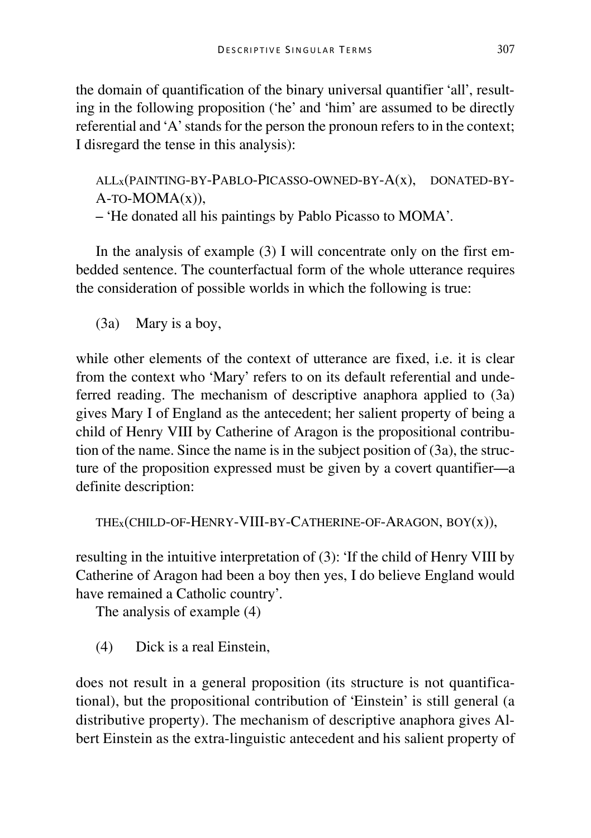the domain of quantification of the binary universal quantifier 'all', resulting in the following proposition ('he' and 'him' are assumed to be directly referential and 'A' stands for the person the pronoun refers to in the context; I disregard the tense in this analysis):

ALLx(PAINTING-BY-PABLO-PICASSO-OWNED-BY-A(x), DONATED-BY- $A$ -TO-MOM $A(x)$ ), – 'He donated all his paintings by Pablo Picasso to MOMA'.

In the analysis of example (3) I will concentrate only on the first embedded sentence. The counterfactual form of the whole utterance requires the consideration of possible worlds in which the following is true:

(3a) Mary is a boy,

while other elements of the context of utterance are fixed, i.e. it is clear from the context who 'Mary' refers to on its default referential and undeferred reading. The mechanism of descriptive anaphora applied to (3a) gives Mary I of England as the antecedent; her salient property of being a child of Henry VIII by Catherine of Aragon is the propositional contribution of the name. Since the name is in the subject position of (3a), the structure of the proposition expressed must be given by a covert quantifier—a definite description:

```
THEx(CHILD-OF-HENRY-VIII-BY-CATHERINE-OF-ARAGON, BOY(x)),
```
resulting in the intuitive interpretation of (3): 'If the child of Henry VIII by Catherine of Aragon had been a boy then yes, I do believe England would have remained a Catholic country'.

The analysis of example (4)

(4) Dick is a real Einstein,

does not result in a general proposition (its structure is not quantificational), but the propositional contribution of 'Einstein' is still general (a distributive property). The mechanism of descriptive anaphora gives Albert Einstein as the extra-linguistic antecedent and his salient property of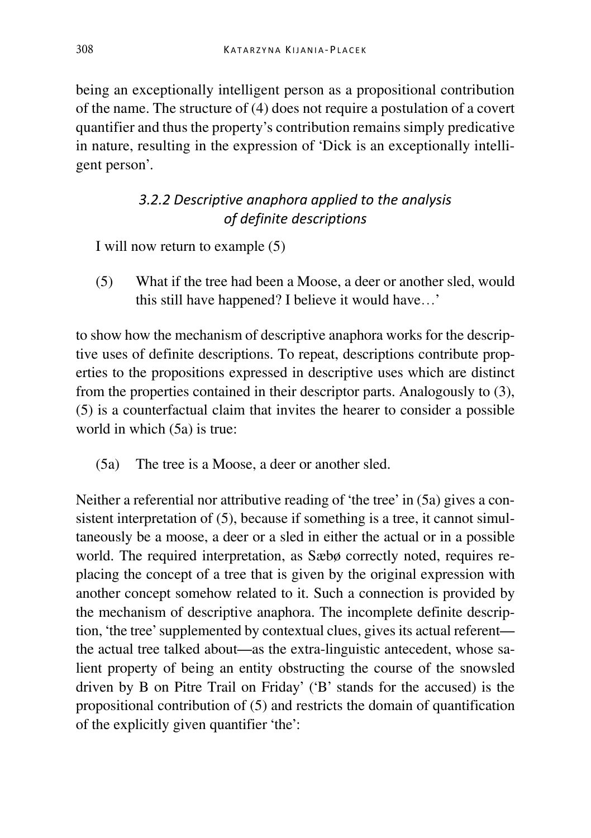being an exceptionally intelligent person as a propositional contribution of the name. The structure of (4) does not require a postulation of a covert quantifier and thus the property's contribution remains simply predicative in nature, resulting in the expression of 'Dick is an exceptionally intelligent person'.

# *3.2.2 Descriptive anaphora applied to the analysis of definite descriptions*

I will now return to example (5)

(5) What if the tree had been a Moose, a deer or another sled, would this still have happened? I believe it would have…'

to show how the mechanism of descriptive anaphora works for the descriptive uses of definite descriptions. To repeat, descriptions contribute properties to the propositions expressed in descriptive uses which are distinct from the properties contained in their descriptor parts. Analogously to (3), (5) is a counterfactual claim that invites the hearer to consider a possible world in which (5a) is true:

(5a) The tree is a Moose, a deer or another sled.

Neither a referential nor attributive reading of 'the tree' in (5a) gives a consistent interpretation of (5), because if something is a tree, it cannot simultaneously be a moose, a deer or a sled in either the actual or in a possible world. The required interpretation, as Sæbø correctly noted, requires replacing the concept of a tree that is given by the original expression with another concept somehow related to it. Such a connection is provided by the mechanism of descriptive anaphora. The incomplete definite description, 'the tree' supplemented by contextual clues, gives its actual referent the actual tree talked about—as the extra-linguistic antecedent, whose salient property of being an entity obstructing the course of the snowsled driven by B on Pitre Trail on Friday' ('B' stands for the accused) is the propositional contribution of (5) and restricts the domain of quantification of the explicitly given quantifier 'the':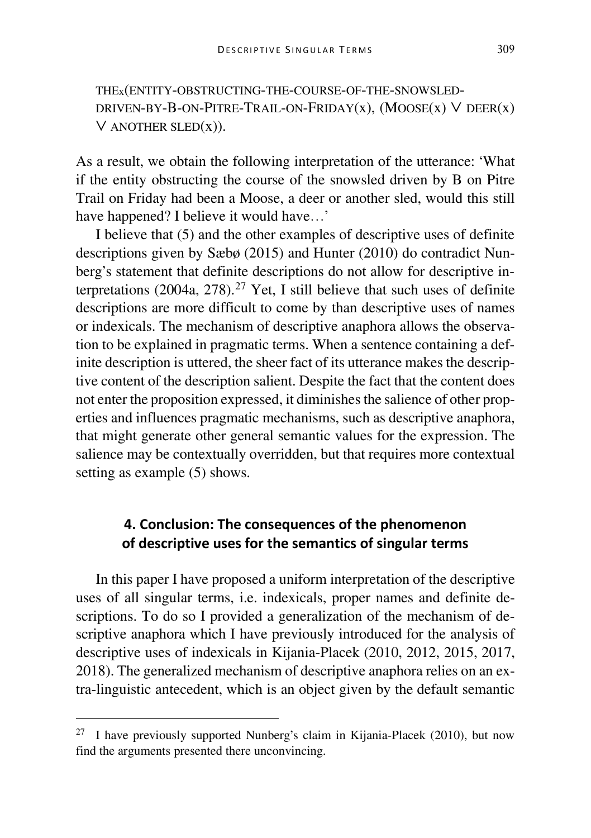THEx(ENTITY-OBSTRUCTING-THE-COURSE-OF-THE-SNOWSLED-DRIVEN-BY-B-ON-PITRE-TRAIL-ON-FRIDAY(x),  $(MOOSE(x) V DEER(x))$  $V$  ANOTHER SLED $(x)$ ).

As a result, we obtain the following interpretation of the utterance: 'What if the entity obstructing the course of the snowsled driven by B on Pitre Trail on Friday had been a Moose, a deer or another sled, would this still have happened? I believe it would have…'

I believe that (5) and the other examples of descriptive uses of definite descriptions given by Sæbø (2015) and Hunter (2010) do contradict Nunberg's statement that definite descriptions do not allow for descriptive interpretations  $(2004a, 278)$  $(2004a, 278)$  $(2004a, 278)$ .<sup>27</sup> Yet, I still believe that such uses of definite descriptions are more difficult to come by than descriptive uses of names or indexicals. The mechanism of descriptive anaphora allows the observation to be explained in pragmatic terms. When a sentence containing a definite description is uttered, the sheer fact of its utterance makes the descriptive content of the description salient. Despite the fact that the content does not enter the proposition expressed, it diminishes the salience of other properties and influences pragmatic mechanisms, such as descriptive anaphora, that might generate other general semantic values for the expression. The salience may be contextually overridden, but that requires more contextual setting as example (5) shows.

## **4. Conclusion: The consequences of the phenomenon of descriptive uses for the semantics of singular terms**

In this paper I have proposed a uniform interpretation of the descriptive uses of all singular terms, i.e. indexicals, proper names and definite descriptions. To do so I provided a generalization of the mechanism of descriptive anaphora which I have previously introduced for the analysis of descriptive uses of indexicals in Kijania-Placek (2010, 2012, 2015, 2017, 2018). The generalized mechanism of descriptive anaphora relies on an extra-linguistic antecedent, which is an object given by the default semantic

<span id="page-19-0"></span><sup>&</sup>lt;sup>27</sup> I have previously supported Nunberg's claim in Kijania-Placek (2010), but now find the arguments presented there unconvincing.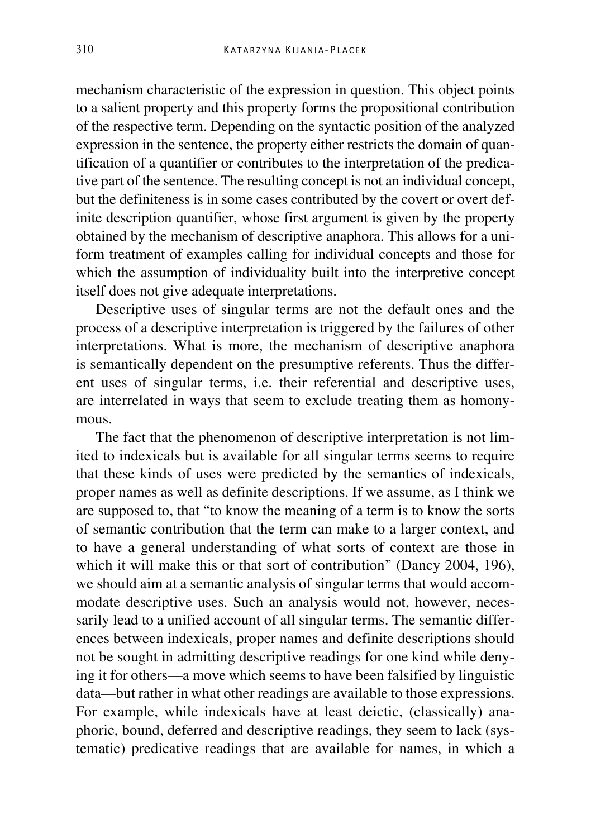mechanism characteristic of the expression in question. This object points to a salient property and this property forms the propositional contribution of the respective term. Depending on the syntactic position of the analyzed expression in the sentence, the property either restricts the domain of quantification of a quantifier or contributes to the interpretation of the predicative part of the sentence. The resulting concept is not an individual concept, but the definiteness is in some cases contributed by the covert or overt definite description quantifier, whose first argument is given by the property obtained by the mechanism of descriptive anaphora. This allows for a uniform treatment of examples calling for individual concepts and those for which the assumption of individuality built into the interpretive concept itself does not give adequate interpretations.

Descriptive uses of singular terms are not the default ones and the process of a descriptive interpretation is triggered by the failures of other interpretations. What is more, the mechanism of descriptive anaphora is semantically dependent on the presumptive referents. Thus the different uses of singular terms, i.e. their referential and descriptive uses, are interrelated in ways that seem to exclude treating them as homonymous.

The fact that the phenomenon of descriptive interpretation is not limited to indexicals but is available for all singular terms seems to require that these kinds of uses were predicted by the semantics of indexicals, proper names as well as definite descriptions. If we assume, as I think we are supposed to, that "to know the meaning of a term is to know the sorts of semantic contribution that the term can make to a larger context, and to have a general understanding of what sorts of context are those in which it will make this or that sort of contribution" (Dancy 2004, 196), we should aim at a semantic analysis of singular terms that would accommodate descriptive uses. Such an analysis would not, however, necessarily lead to a unified account of all singular terms. The semantic differences between indexicals, proper names and definite descriptions should not be sought in admitting descriptive readings for one kind while denying it for others—a move which seems to have been falsified by linguistic data—but rather in what other readings are available to those expressions. For example, while indexicals have at least deictic, (classically) anaphoric, bound, deferred and descriptive readings, they seem to lack (systematic) predicative readings that are available for names, in which a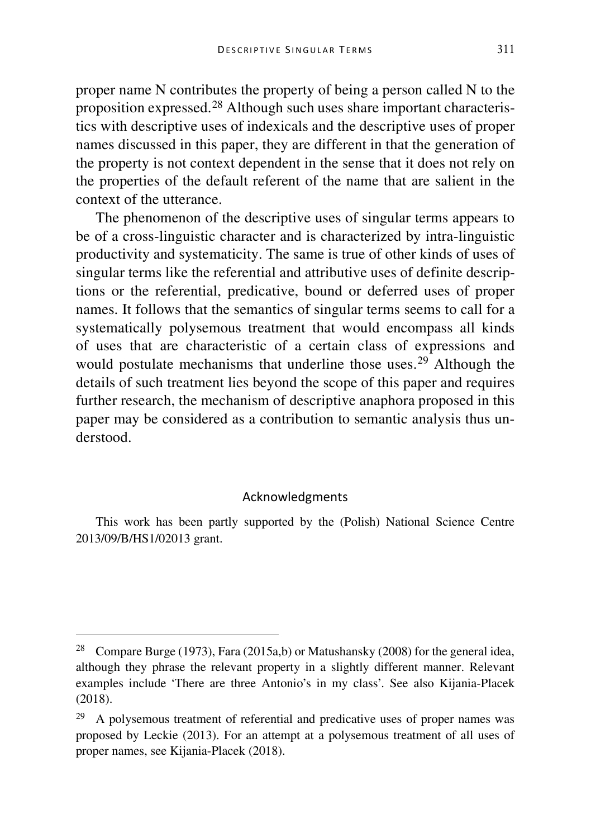proper name N contributes the property of being a person called N to the proposition expressed.[28](#page-21-0) Although such uses share important characteristics with descriptive uses of indexicals and the descriptive uses of proper names discussed in this paper, they are different in that the generation of the property is not context dependent in the sense that it does not rely on the properties of the default referent of the name that are salient in the context of the utterance.

The phenomenon of the descriptive uses of singular terms appears to be of a cross-linguistic character and is characterized by intra-linguistic productivity and systematicity. The same is true of other kinds of uses of singular terms like the referential and attributive uses of definite descriptions or the referential, predicative, bound or deferred uses of proper names. It follows that the semantics of singular terms seems to call for a systematically polysemous treatment that would encompass all kinds of uses that are characteristic of a certain class of expressions and would postulate mechanisms that underline those uses.<sup>[29](#page-21-1)</sup> Although the details of such treatment lies beyond the scope of this paper and requires further research, the mechanism of descriptive anaphora proposed in this paper may be considered as a contribution to semantic analysis thus understood.

#### Acknowledgments

This work has been partly supported by the (Polish) National Science Centre 2013/09/B/HS1/02013 grant.

<span id="page-21-0"></span> <sup>28</sup> Compare Burge (1973), Fara (2015a,b) or Matushansky (2008) for the general idea, although they phrase the relevant property in a slightly different manner. Relevant examples include 'There are three Antonio's in my class'. See also Kijania-Placek (2018).

<span id="page-21-1"></span><sup>&</sup>lt;sup>29</sup> A polysemous treatment of referential and predicative uses of proper names was proposed by Leckie (2013). For an attempt at a polysemous treatment of all uses of proper names, see Kijania-Placek (2018).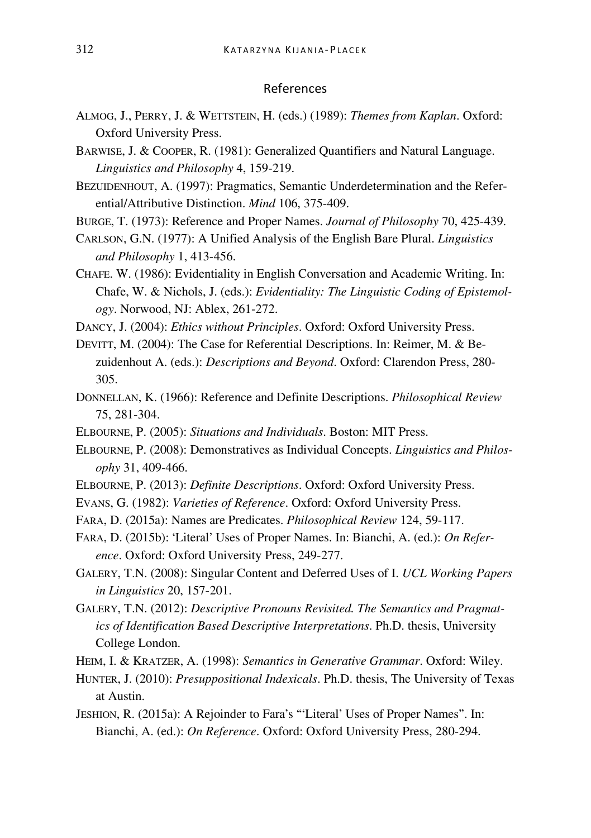#### References

- ALMOG, J., PERRY, J. & WETTSTEIN, H. (eds.) (1989): *Themes from Kaplan*. Oxford: Oxford University Press.
- BARWISE, J. & COOPER, R. (1981): Generalized Quantifiers and Natural Language. *Linguistics and Philosophy* 4, 159-219.
- BEZUIDENHOUT, A. (1997): Pragmatics, Semantic Underdetermination and the Referential/Attributive Distinction. *Mind* 106, 375-409.
- BURGE, T. (1973): Reference and Proper Names. *Journal of Philosophy* 70, 425-439.
- CARLSON, G.N. (1977): A Unified Analysis of the English Bare Plural. *Linguistics and Philosophy* 1, 413-456.
- CHAFE. W. (1986): Evidentiality in English Conversation and Academic Writing. In: Chafe, W. & Nichols, J. (eds.): *Evidentiality: The Linguistic Coding of Epistemology*. Norwood, NJ: Ablex, 261-272.
- DANCY, J. (2004): *Ethics without Principles*. Oxford: Oxford University Press.
- DEVITT, M. (2004): The Case for Referential Descriptions. In: Reimer, M. & Bezuidenhout A. (eds.): *Descriptions and Beyond*. Oxford: Clarendon Press, 280- 305.
- DONNELLAN, K. (1966): Reference and Definite Descriptions. *Philosophical Review* 75, 281-304.
- ELBOURNE, P. (2005): *Situations and Individuals*. Boston: MIT Press.
- ELBOURNE, P. (2008): Demonstratives as Individual Concepts. *Linguistics and Philosophy* 31, 409-466.
- ELBOURNE, P. (2013): *Definite Descriptions*. Oxford: Oxford University Press.
- EVANS, G. (1982): *Varieties of Reference*. Oxford: Oxford University Press.
- FARA, D. (2015a): Names are Predicates. *Philosophical Review* 124, 59-117.
- FARA, D. (2015b): 'Literal' Uses of Proper Names. In: Bianchi, A. (ed.): *On Reference*. Oxford: Oxford University Press, 249-277.
- GALERY, T.N. (2008): Singular Content and Deferred Uses of I. *UCL Working Papers in Linguistics* 20, 157-201.
- GALERY, T.N. (2012): *Descriptive Pronouns Revisited. The Semantics and Pragmatics of Identification Based Descriptive Interpretations*. Ph.D. thesis, University College London.
- HEIM, I. & KRATZER, A. (1998): *Semantics in Generative Grammar*. Oxford: Wiley.
- HUNTER, J. (2010): *Presuppositional Indexicals*. Ph.D. thesis, The University of Texas at Austin.
- JESHION, R. (2015a): A Rejoinder to Fara's "'Literal' Uses of Proper Names". In: Bianchi, A. (ed.): *On Reference*. Oxford: Oxford University Press, 280-294.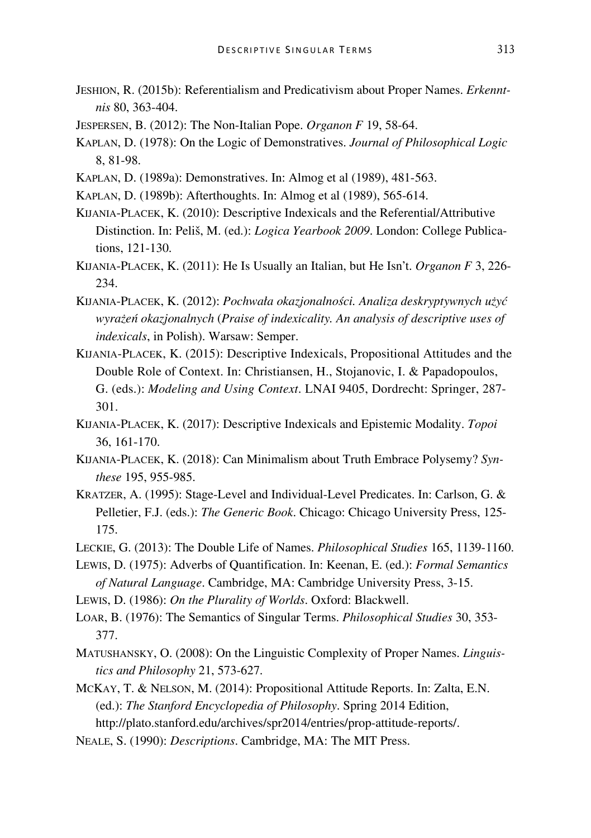- JESHION, R. (2015b): Referentialism and Predicativism about Proper Names. *Erkenntnis* 80, 363-404.
- JESPERSEN, B. (2012): The Non-Italian Pope. *Organon F* 19, 58-64.
- KAPLAN, D. (1978): On the Logic of Demonstratives. *Journal of Philosophical Logic* 8, 81-98.
- KAPLAN, D. (1989a): Demonstratives. In: Almog et al (1989), 481-563.
- KAPLAN, D. (1989b): Afterthoughts. In: Almog et al (1989), 565-614.
- KIJANIA-PLACEK, K. (2010): Descriptive Indexicals and the Referential/Attributive Distinction. In: Peliš, M. (ed.): *Logica Yearbook 2009*. London: College Publications, 121-130.
- KIJANIA-PLACEK, K. (2011): He Is Usually an Italian, but He Isn't. *Organon F* 3, 226- 234.
- KIJANIA-PLACEK, K. (2012): *Pochwała okazjonalności. Analiza deskryptywnych użyć wyrażeń okazjonalnych* (*Praise of indexicality. An analysis of descriptive uses of indexicals*, in Polish). Warsaw: Semper.
- KIJANIA-PLACEK, K. (2015): Descriptive Indexicals, Propositional Attitudes and the Double Role of Context. In: Christiansen, H., Stojanovic, I. & Papadopoulos, G. (eds.): *Modeling and Using Context*. LNAI 9405, Dordrecht: Springer, 287- 301.
- KIJANIA-PLACEK, K. (2017): Descriptive Indexicals and Epistemic Modality. *Topoi* 36, 161-170.
- KIJANIA-PLACEK, K. (2018): Can Minimalism about Truth Embrace Polysemy? *Synthese* 195, 955-985.
- KRATZER, A. (1995): Stage-Level and Individual-Level Predicates. In: Carlson, G. & Pelletier, F.J. (eds.): *The Generic Book*. Chicago: Chicago University Press, 125- 175.
- LECKIE, G. (2013): The Double Life of Names. *Philosophical Studies* 165, 1139-1160.
- LEWIS, D. (1975): Adverbs of Quantification. In: Keenan, E. (ed.): *Formal Semantics of Natural Language*. Cambridge, MA: Cambridge University Press, 3-15.
- LEWIS, D. (1986): *On the Plurality of Worlds*. Oxford: Blackwell.
- LOAR, B. (1976): The Semantics of Singular Terms. *Philosophical Studies* 30, 353- 377.
- MATUSHANSKY, O. (2008): On the Linguistic Complexity of Proper Names. *Linguistics and Philosophy* 21, 573-627.
- MCKAY, T. & NELSON, M. (2014): Propositional Attitude Reports. In: Zalta, E.N. (ed.): *The Stanford Encyclopedia of Philosophy*. Spring 2014 Edition, http://plato.stanford.edu/archives/spr2014/entries/prop-attitude-reports/.
- NEALE, S. (1990): *Descriptions*. Cambridge, MA: The MIT Press.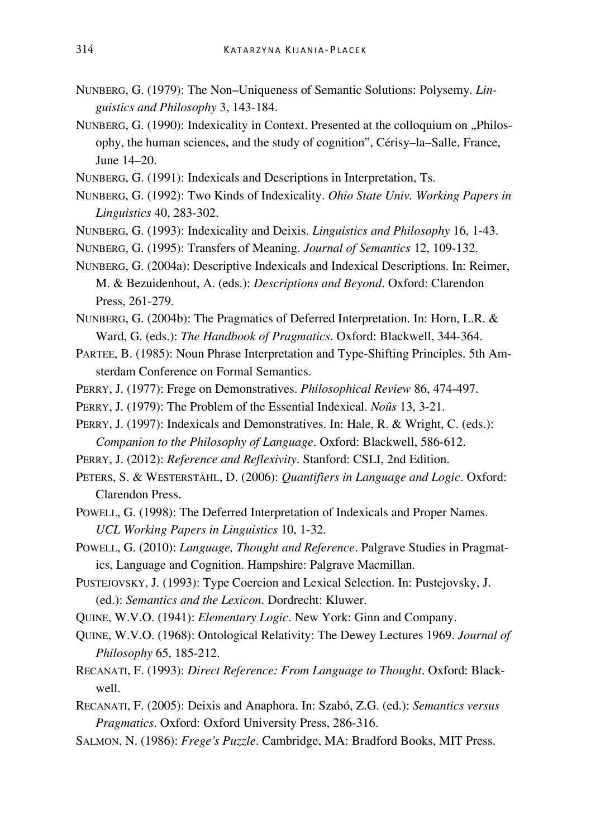- NUNBERG, G. (1979): The Non–Uniqueness of Semantic Solutions: Polysemy. *Linguistics and Philosophy* 3, 143-184.
- NUNBERG, G. (1990): Indexicality in Context. Presented at the colloquium on "Philosophy, the human sciences, and the study of cognition", Cérisy–la–Salle, France, June 14–20.
- NUNBERG, G. (1991): Indexicals and Descriptions in Interpretation, Ts.
- NUNBERG, G. (1992): Two Kinds of Indexicality. *Ohio State Univ. Working Papers in Linguistics* 40, 283-302.
- NUNBERG, G. (1993): Indexicality and Deixis. *Linguistics and Philosophy* 16, 1-43.
- NUNBERG, G. (1995): Transfers of Meaning. *Journal of Semantics* 12, 109-132.
- NUNBERG, G. (2004a): Descriptive Indexicals and Indexical Descriptions. In: Reimer, M. & Bezuidenhout, A. (eds.): *Descriptions and Beyond*. Oxford: Clarendon Press, 261-279.
- NUNBERG, G. (2004b): The Pragmatics of Deferred Interpretation. In: Horn, L.R. & Ward, G. (eds.): *The Handbook of Pragmatics*. Oxford: Blackwell, 344-364.
- PARTEE, B. (1985): Noun Phrase Interpretation and Type-Shifting Principles. 5th Amsterdam Conference on Formal Semantics.
- PERRY, J. (1977): Frege on Demonstratives. *Philosophical Review* 86, 474-497.
- PERRY, J. (1979): The Problem of the Essential Indexical. *Noûs* 13, 3-21.
- PERRY, J. (1997): Indexicals and Demonstratives. In: Hale, R. & Wright, C. (eds.): *Companion to the Philosophy of Language*. Oxford: Blackwell, 586-612.
- PERRY, J. (2012): *Reference and Reflexivity*. Stanford: CSLI, 2nd Edition.
- PETERS, S. & WESTERSTÅHL, D. (2006): *Quantifiers in Language and Logic*. Oxford: Clarendon Press.
- POWELL, G. (1998): The Deferred Interpretation of Indexicals and Proper Names. *UCL Working Papers in Linguistics* 10, 1-32.
- POWELL, G. (2010): *Language, Thought and Reference*. Palgrave Studies in Pragmatics, Language and Cognition. Hampshire: Palgrave Macmillan.
- PUSTEJOVSKY, J. (1993): Type Coercion and Lexical Selection. In: Pustejovsky, J. (ed.): *Semantics and the Lexicon*. Dordrecht: Kluwer.
- QUINE, W.V.O. (1941): *Elementary Logic*. New York: Ginn and Company.
- QUINE, W.V.O. (1968): Ontological Relativity: The Dewey Lectures 1969. *Journal of Philosophy* 65, 185-212.
- RECANATI, F. (1993): *Direct Reference: From Language to Thought*. Oxford: Blackwell.
- RECANATI, F. (2005): Deixis and Anaphora. In: Szabó, Z.G. (ed.): *Semantics versus Pragmatics*. Oxford: Oxford University Press, 286-316.
- SALMON, N. (1986): *Frege's Puzzle*. Cambridge, MA: Bradford Books, MIT Press.